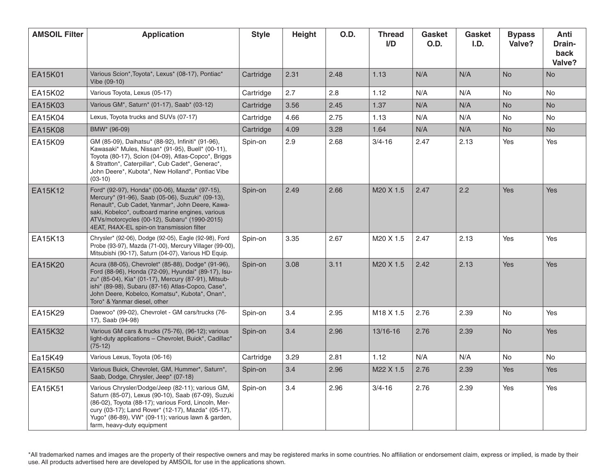| <b>AMSOIL Filter</b> | <b>Application</b>                                                                                                                                                                                                                                                                                        | <b>Style</b> | Height | O.D. | <b>Thread</b><br>I/D  | Gasket<br>O.D. | <b>Gasket</b><br>I.D. | <b>Bypass</b><br>Valve? | Anti<br>Drain-<br>back<br>Valve? |
|----------------------|-----------------------------------------------------------------------------------------------------------------------------------------------------------------------------------------------------------------------------------------------------------------------------------------------------------|--------------|--------|------|-----------------------|----------------|-----------------------|-------------------------|----------------------------------|
| EA15K01              | Various Scion*, Toyota*, Lexus* (08-17), Pontiac*<br>Vibe (09-10)                                                                                                                                                                                                                                         | Cartridge    | 2.31   | 2.48 | 1.13                  | N/A            | N/A                   | <b>No</b>               | <b>No</b>                        |
| EA15K02              | Various Toyota, Lexus (05-17)                                                                                                                                                                                                                                                                             | Cartridge    | 2.7    | 2.8  | 1.12                  | N/A            | N/A                   | No                      | <b>No</b>                        |
| EA15K03              | Various GM*, Saturn* (01-17), Saab* (03-12)                                                                                                                                                                                                                                                               | Cartridge    | 3.56   | 2.45 | 1.37                  | N/A            | N/A                   | <b>No</b>               | <b>No</b>                        |
| EA15K04              | Lexus, Toyota trucks and SUVs (07-17)                                                                                                                                                                                                                                                                     | Cartridge    | 4.66   | 2.75 | 1.13                  | N/A            | N/A                   | No                      | No                               |
| <b>EA15K08</b>       | BMW* (96-09)                                                                                                                                                                                                                                                                                              | Cartridge    | 4.09   | 3.28 | 1.64                  | N/A            | N/A                   | <b>No</b>               | <b>No</b>                        |
| EA15K09              | GM (85-09), Daihatsu* (88-92), Infiniti* (91-96),<br>Kawasaki* Mules, Nissan* (91-95), Buell* (00-11),<br>Toyota (80-17), Scion (04-09), Atlas-Copco*, Briggs<br>& Stratton*, Caterpillar*, Cub Cadet*, Generac*,<br>John Deere*, Kubota*, New Holland*, Pontiac Vibe<br>$(03-10)$                        | Spin-on      | 2.9    | 2.68 | $3/4 - 16$            | 2.47           | 2.13                  | Yes                     | Yes                              |
| <b>EA15K12</b>       | Ford* (92-97), Honda* (00-06), Mazda* (97-15),<br>Mercury* (91-96), Saab (05-06), Suzuki* (09-13),<br>Renault*, Cub Cadet, Yanmar*, John Deere, Kawa-<br>saki, Kobelco*, outboard marine engines, various<br>ATVs/motorcycles (00-12), Subaru* (1990-2015)<br>4EAT, R4AX-EL spin-on transmission filter   | Spin-on      | 2.49   | 2.66 | M20 X 1.5             | 2.47           | 2.2                   | Yes                     | <b>Yes</b>                       |
| EA15K13              | Chrysler* (92-06), Dodge (92-05), Eagle (92-98), Ford<br>Probe (93-97), Mazda (71-00), Mercury Villager (99-00),<br>Mitsubishi (90-17), Saturn (04-07), Various HD Equip.                                                                                                                                 | Spin-on      | 3.35   | 2.67 | M20 X 1.5             | 2.47           | 2.13                  | Yes                     | Yes                              |
| EA15K20              | Acura (88-05), Chevrolet* (85-88), Dodge* (91-96),<br>Ford (88-96), Honda (72-09), Hyundai* (89-17), Isu-<br>zu* (85-04), Kia* (01-17), Mercury (87-91), Mitsub-<br>ishi* (89-98), Subaru (87-16) Atlas-Copco, Case*,<br>John Deere, Kobelco, Komatsu*, Kubota*, Onan*,<br>Toro* & Yanmar diesel, other   | Spin-on      | 3.08   | 3.11 | M <sub>20</sub> X 1.5 | 2.42           | 2.13                  | Yes                     | Yes                              |
| EA15K29              | Daewoo* (99-02), Chevrolet - GM cars/trucks (76-<br>17), Saab (94-98)                                                                                                                                                                                                                                     | Spin-on      | 3.4    | 2.95 | M18 X 1.5             | 2.76           | 2.39                  | No                      | Yes                              |
| EA15K32              | Various GM cars & trucks (75-76), (96-12); various<br>light-duty applications - Chevrolet, Buick*, Cadillac*<br>$(75-12)$                                                                                                                                                                                 | Spin-on      | 3.4    | 2.96 | 13/16-16              | 2.76           | 2.39                  | <b>No</b>               | Yes                              |
| Ea15K49              | Various Lexus, Toyota (06-16)                                                                                                                                                                                                                                                                             | Cartridge    | 3.29   | 2.81 | 1.12                  | N/A            | N/A                   | <b>No</b>               | <b>No</b>                        |
| EA15K50              | Various Buick, Chevrolet, GM, Hummer*, Saturn*,<br>Saab, Dodge, Chrysler, Jeep* (07-18)                                                                                                                                                                                                                   | Spin-on      | 3.4    | 2.96 | M22 X 1.5             | 2.76           | 2.39                  | Yes                     | Yes                              |
| EA15K51              | Various Chrysler/Dodge/Jeep (82-11); various GM,<br>Saturn (85-07), Lexus (90-10), Saab (67-09), Suzuki<br>(86-02), Toyota (88-17); various Ford, Lincoln, Mer-<br>cury (03-17); Land Rover* (12-17), Mazda* (05-17),<br>Yugo* (86-89), VW* (09-11); various lawn & garden,<br>farm, heavy-duty equipment | Spin-on      | 3.4    | 2.96 | $3/4 - 16$            | 2.76           | 2.39                  | Yes                     | Yes                              |

\*All trademarked names and images are the property of their respective owners and may be registered marks in some countries. No affiliation or endorsement claim, express or implied, is made by their use. All products advertised here are developed by AMSOIL for use in the applications shown.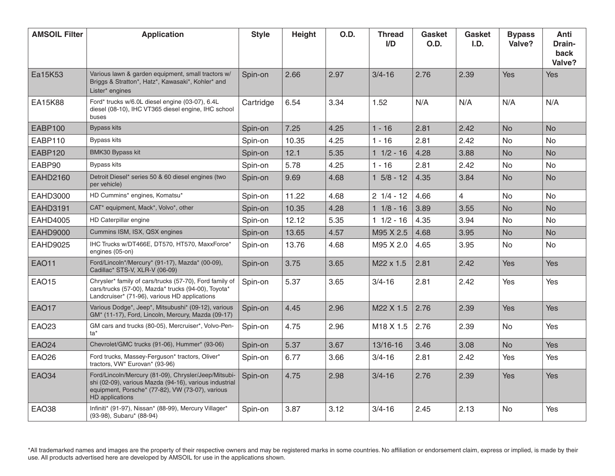| <b>AMSOIL Filter</b> | <b>Application</b>                                                                                                                                                                           | <b>Style</b> | Height | O.D. | <b>Thread</b><br>I/D | Gasket<br>O.D. | Gasket<br>I.D. | <b>Bypass</b><br>Valve? | Anti<br>Drain-<br>back<br>Valve? |
|----------------------|----------------------------------------------------------------------------------------------------------------------------------------------------------------------------------------------|--------------|--------|------|----------------------|----------------|----------------|-------------------------|----------------------------------|
| Ea15K53              | Various lawn & garden equipment, small tractors w/<br>Briggs & Stratton*, Hatz*, Kawasaki*, Kohler* and<br>Lister* engines                                                                   | Spin-on      | 2.66   | 2.97 | $3/4 - 16$           | 2.76           | 2.39           | Yes                     | Yes                              |
| EA15K88              | Ford* trucks w/6.0L diesel engine (03-07), 6.4L<br>diesel (08-10), IHC VT365 diesel engine, IHC school<br>buses                                                                              | Cartridge    | 6.54   | 3.34 | 1.52                 | N/A            | N/A            | N/A                     | N/A                              |
| <b>EABP100</b>       | <b>Bypass kits</b>                                                                                                                                                                           | Spin-on      | 7.25   | 4.25 | $1 - 16$             | 2.81           | 2.42           | <b>No</b>               | <b>No</b>                        |
| EABP110              | Bypass kits                                                                                                                                                                                  | Spin-on      | 10.35  | 4.25 | $1 - 16$             | 2.81           | 2.42           | No.                     | No                               |
| <b>EABP120</b>       | <b>BMK30 Bypass kit</b>                                                                                                                                                                      | Spin-on      | 12.1   | 5.35 | $1 \t1/2 - 16$       | 4.28           | 3.88           | <b>No</b>               | <b>No</b>                        |
| EABP90               | Bypass kits                                                                                                                                                                                  | Spin-on      | 5.78   | 4.25 | $1 - 16$             | 2.81           | 2.42           | No.                     | <b>No</b>                        |
| <b>EAHD2160</b>      | Detroit Diesel* series 50 & 60 diesel engines (two<br>per vehicle)                                                                                                                           | Spin-on      | 9.69   | 4.68 | $1 \t5/8 - 12$       | 4.35           | 3.84           | <b>No</b>               | <b>No</b>                        |
| <b>EAHD3000</b>      | HD Cummins* engines, Komatsu*                                                                                                                                                                | Spin-on      | 11.22  | 4.68 | $21/4 - 12$          | 4.66           | $\overline{4}$ | <b>No</b>               | No                               |
| <b>EAHD3191</b>      | CAT* equipment, Mack*, Volvo*, other                                                                                                                                                         | Spin-on      | 10.35  | 4.28 | $11/8 - 16$          | 3.89           | 3.55           | <b>No</b>               | <b>No</b>                        |
| <b>EAHD4005</b>      | HD Caterpillar engine                                                                                                                                                                        | Spin-on      | 12.12  | 5.35 | $11/2 - 16$          | 4.35           | 3.94           | No.                     | <b>No</b>                        |
| <b>EAHD9000</b>      | Cummins ISM, ISX, QSX engines                                                                                                                                                                | Spin-on      | 13.65  | 4.57 | M95 X 2.5            | 4.68           | 3.95           | <b>No</b>               | <b>No</b>                        |
| <b>EAHD9025</b>      | IHC Trucks w/DT466E, DT570, HT570, MaxxForce*<br>engines (05-on)                                                                                                                             | Spin-on      | 13.76  | 4.68 | M95 X 2.0            | 4.65           | 3.95           | No                      | No                               |
| <b>EAO11</b>         | Ford/Lincoln*/Mercury* (91-17), Mazda* (00-09),<br>Cadillac* STS-V, XLR-V (06-09)                                                                                                            | Spin-on      | 3.75   | 3.65 | M22 x 1.5            | 2.81           | 2.42           | <b>Yes</b>              | <b>Yes</b>                       |
| <b>EAO15</b>         | Chrysler* family of cars/trucks (57-70), Ford family of<br>cars/trucks (57-00), Mazda* trucks (94-00), Toyota*<br>Landcruiser* (71-96), various HD applications                              | Spin-on      | 5.37   | 3.65 | $3/4 - 16$           | 2.81           | 2.42           | Yes                     | Yes                              |
| <b>EAO17</b>         | Various Dodge*, Jeep*, Mitsubushi* (09-12), various<br>GM* (11-17), Ford, Lincoln, Mercury, Mazda (09-17)                                                                                    | Spin-on      | 4.45   | 2.96 | M22 X 1.5            | 2.76           | 2.39           | Yes                     | Yes                              |
| EA023                | GM cars and trucks (80-05), Mercruiser*, Volvo-Pen-<br>ta*                                                                                                                                   | Spin-on      | 4.75   | 2.96 | M18 X 1.5            | 2.76           | 2.39           | <b>No</b>               | Yes                              |
| <b>EAO24</b>         | Chevrolet/GMC trucks (91-06), Hummer* (93-06)                                                                                                                                                | Spin-on      | 5.37   | 3.67 | 13/16-16             | 3.46           | 3.08           | <b>No</b>               | Yes                              |
| <b>EAO26</b>         | Ford trucks, Massey-Ferguson* tractors, Oliver*<br>tractors, VW* Eurovan* (93-96)                                                                                                            | Spin-on      | 6.77   | 3.66 | $3/4 - 16$           | 2.81           | 2.42           | Yes                     | Yes                              |
| <b>EAO34</b>         | Ford/Lincoln/Mercury (81-09), Chrysler/Jeep/Mitsubi-<br>shi (02-09), various Mazda (94-16), various industrial<br>equipment, Porsche* (77-82), VW (73-07), various<br><b>HD</b> applications | Spin-on      | 4.75   | 2.98 | $3/4 - 16$           | 2.76           | 2.39           | Yes                     | Yes                              |
| EAO38                | Infiniti* (91-97), Nissan* (88-99), Mercury Villager*<br>(93-98), Subaru* (88-94)                                                                                                            | Spin-on      | 3.87   | 3.12 | $3/4 - 16$           | 2.45           | 2.13           | No.                     | Yes                              |

\*All trademarked names and images are the property of their respective owners and may be registered marks in some countries. No affiliation or endorsement claim, express or implied, is made by their use. All products advertised here are developed by AMSOIL for use in the applications shown.